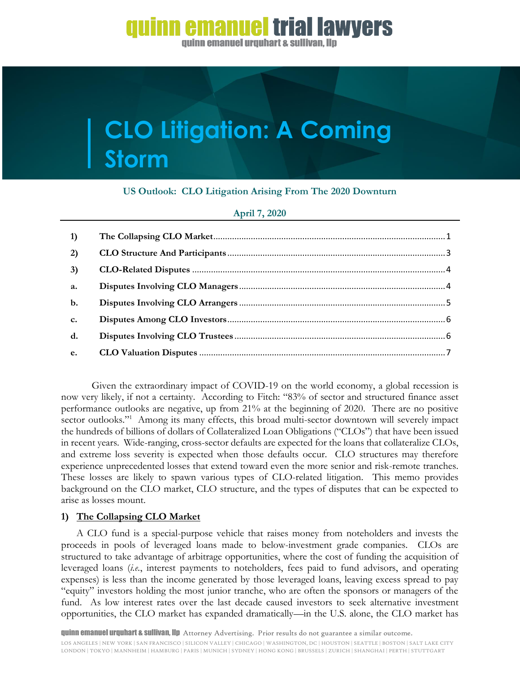### emanuel trial lawyers

guinn emanuel urguhart & sullivan. Ilp

# **CLO Litigation: A Coming Storm**

### **US Outlook: CLO Litigation Arising From The 2020 Downturn**

| April 7, 2020 |  |  |
|---------------|--|--|
|               |  |  |

| 1)             |  |
|----------------|--|
| 2)             |  |
| 3)             |  |
| a.             |  |
| $b$ .          |  |
| $\mathbf{c}$ . |  |
| $\mathbf{d}$ . |  |
| e.             |  |

Given the extraordinary impact of COVID-19 on the world economy, a global recession is now very likely, if not a certainty. According to Fitch: "83% of sector and structured finance asset performance outlooks are negative, up from 21% at the beginning of 2020. There are no positive sector outlooks."<sup>1</sup> Among its many effects, this broad multi-sector downtown will severely impact the hundreds of billions of dollars of Collateralized Loan Obligations ("CLOs") that have been issued in recent years. Wide-ranging, cross-sector defaults are expected for the loans that collateralize CLOs, and extreme loss severity is expected when those defaults occur. CLO structures may therefore experience unprecedented losses that extend toward even the more senior and risk-remote tranches. These losses are likely to spawn various types of CLO-related litigation. This memo provides background on the CLO market, CLO structure, and the types of disputes that can be expected to arise as losses mount.

#### <span id="page-0-0"></span>**1) The Collapsing CLO Market**

A CLO fund is a special-purpose vehicle that raises money from noteholders and invests the proceeds in pools of leveraged loans made to below-investment grade companies. CLOs are structured to take advantage of arbitrage opportunities, where the cost of funding the acquisition of leveraged loans (*i.e.*, interest payments to noteholders, fees paid to fund advisors, and operating expenses) is less than the income generated by those leveraged loans, leaving excess spread to pay "equity" investors holding the most junior tranche, who are often the sponsors or managers of the fund. As low interest rates over the last decade caused investors to seek alternative investment opportunities, the CLO market has expanded dramatically—in the U.S. alone, the CLO market has

quinn emanuel urquhart & sullivan, llp Attorney Advertising. Prior results do not guarantee a similar outcome.

LOS ANGELES | NEW YORK | SAN FRANCISCO | SILICON VALLEY | CHICAGO | WASHINGTON, DC | HOUSTON | SEATTLE | BOSTON | SALT LAKE CITY LONDON | TOKYO | MANNHEIM | HAMBURG | PARIS | MUNICH | SYDNEY | HONG KONG | BRUSSELS | ZURICH | SHANGHAI | PERTH | STUTTGART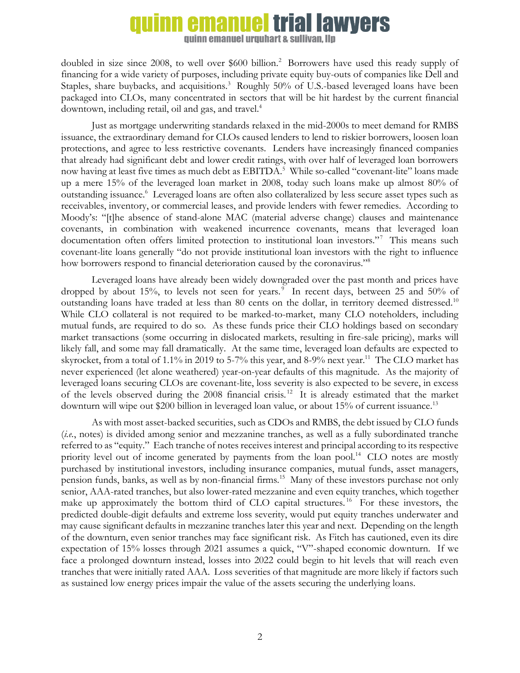## **emanuel trial lawyers**

quinn emanuel urquhart & sullivan. Ilp

doubled in size since 2008, to well over \$600 billion.<sup>2</sup> Borrowers have used this ready supply of financing for a wide variety of purposes, including private equity buy-outs of companies like Dell and Staples, share buybacks, and acquisitions.<sup>3</sup> Roughly 50% of U.S.-based leveraged loans have been packaged into CLOs, many concentrated in sectors that will be hit hardest by the current financial downtown, including retail, oil and gas, and travel.<sup>4</sup>

Just as mortgage underwriting standards relaxed in the mid-2000s to meet demand for RMBS issuance, the extraordinary demand for CLOs caused lenders to lend to riskier borrowers, loosen loan protections, and agree to less restrictive covenants. Lenders have increasingly financed companies that already had significant debt and lower credit ratings, with over half of leveraged loan borrowers now having at least five times as much debt as EBITDA.<sup>5</sup> While so-called "covenant-lite" loans made up a mere 15% of the leveraged loan market in 2008, today such loans make up almost 80% of outstanding issuance.<sup>6</sup> Leveraged loans are often also collateralized by less secure asset types such as receivables, inventory, or commercial leases, and provide lenders with fewer remedies. According to Moody's: "[t]he absence of stand-alone MAC (material adverse change) clauses and maintenance covenants, in combination with weakened incurrence covenants, means that leveraged loan documentation often offers limited protection to institutional loan investors."<sup>7</sup> This means such covenant-lite loans generally "do not provide institutional loan investors with the right to influence how borrowers respond to financial deterioration caused by the coronavirus."<sup>8</sup>

Leveraged loans have already been widely downgraded over the past month and prices have dropped by about 15%, to levels not seen for years. $\degree$  In recent days, between 25 and 50% of outstanding loans have traded at less than 80 cents on the dollar, in territory deemed distressed.<sup>10</sup> While CLO collateral is not required to be marked-to-market, many CLO noteholders, including mutual funds, are required to do so. As these funds price their CLO holdings based on secondary market transactions (some occurring in dislocated markets, resulting in fire-sale pricing), marks will likely fall, and some may fall dramatically. At the same time, leveraged loan defaults are expected to skyrocket, from a total of 1.1% in 2019 to 5-7% this year, and 8-9% next year.<sup>11</sup> The CLO market has never experienced (let alone weathered) year-on-year defaults of this magnitude. As the majority of leveraged loans securing CLOs are covenant-lite, loss severity is also expected to be severe, in excess of the levels observed during the 2008 financial crisis.<sup>12</sup> It is already estimated that the market downturn will wipe out \$200 billion in leveraged loan value, or about 15% of current issuance.<sup>13</sup>

As with most asset-backed securities, such as CDOs and RMBS, the debt issued by CLO funds (*i.e.*, notes) is divided among senior and mezzanine tranches, as well as a fully subordinated tranche referred to as "equity." Each tranche of notes receives interest and principal according to its respective priority level out of income generated by payments from the loan pool.<sup>14</sup> CLO notes are mostly purchased by institutional investors, including insurance companies, mutual funds, asset managers, pension funds, banks, as well as by non-financial firms.<sup>15</sup> Many of these investors purchase not only senior, AAA-rated tranches, but also lower-rated mezzanine and even equity tranches, which together make up approximately the bottom third of CLO capital structures.<sup>16</sup> For these investors, the predicted double-digit defaults and extreme loss severity, would put equity tranches underwater and may cause significant defaults in mezzanine tranches later this year and next. Depending on the length of the downturn, even senior tranches may face significant risk. As Fitch has cautioned, even its dire expectation of 15% losses through 2021 assumes a quick, "V"-shaped economic downturn. If we face a prolonged downturn instead, losses into 2022 could begin to hit levels that will reach even tranches that were initially rated AAA. Loss severities of that magnitude are more likely if factors such as sustained low energy prices impair the value of the assets securing the underlying loans.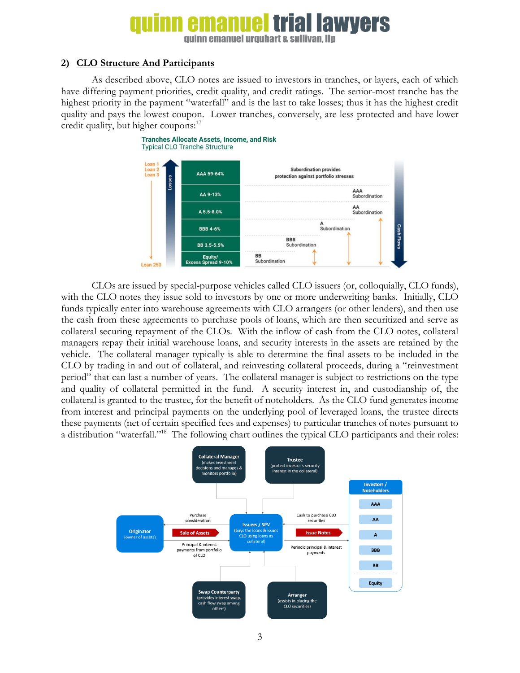### ial lawyers

**guinn emanuel urguhart & sullivan. Ilp** 

#### <span id="page-2-0"></span>**2) CLO Structure And Participants**

As described above, CLO notes are issued to investors in tranches, or layers, each of which have differing payment priorities, credit quality, and credit ratings. The senior-most tranche has the highest priority in the payment "waterfall" and is the last to take losses; thus it has the highest credit quality and pays the lowest coupon. Lower tranches, conversely, are less protected and have lower credit quality, but higher coupons:<sup>17</sup>



CLOs are issued by special-purpose vehicles called CLO issuers (or, colloquially, CLO funds), with the CLO notes they issue sold to investors by one or more underwriting banks. Initially, CLO funds typically enter into warehouse agreements with CLO arrangers (or other lenders), and then use the cash from these agreements to purchase pools of loans, which are then securitized and serve as collateral securing repayment of the CLOs. With the inflow of cash from the CLO notes, collateral managers repay their initial warehouse loans, and security interests in the assets are retained by the vehicle. The collateral manager typically is able to determine the final assets to be included in the CLO by trading in and out of collateral, and reinvesting collateral proceeds, during a "reinvestment period" that can last a number of years. The collateral manager is subject to restrictions on the type and quality of collateral permitted in the fund. A security interest in, and custodianship of, the collateral is granted to the trustee, for the benefit of noteholders. As the CLO fund generates income from interest and principal payments on the underlying pool of leveraged loans, the trustee directs these payments (net of certain specified fees and expenses) to particular tranches of notes pursuant to a distribution "waterfall."<sup>18</sup> The following chart outlines the typical CLO participants and their roles:

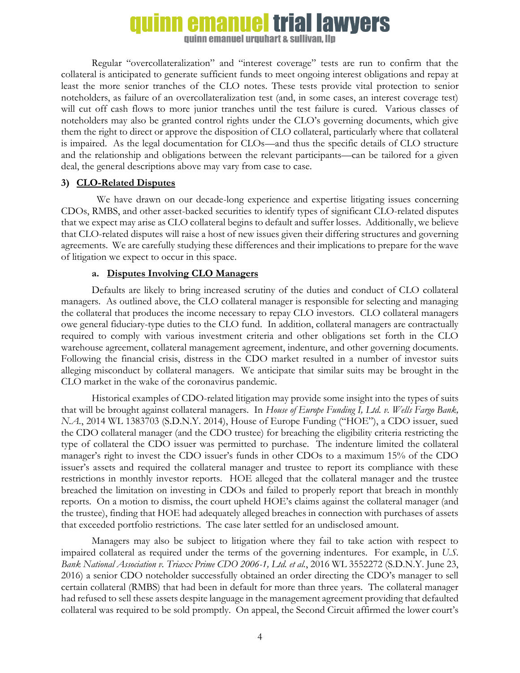## quinn emanuel trial lawyers

quinn emanuel urquhart & sullivan. Ilp

Regular "overcollateralization" and "interest coverage" tests are run to confirm that the collateral is anticipated to generate sufficient funds to meet ongoing interest obligations and repay at least the more senior tranches of the CLO notes. These tests provide vital protection to senior noteholders, as failure of an overcollateralization test (and, in some cases, an interest coverage test) will cut off cash flows to more junior tranches until the test failure is cured. Various classes of noteholders may also be granted control rights under the CLO's governing documents, which give them the right to direct or approve the disposition of CLO collateral, particularly where that collateral is impaired. As the legal documentation for CLOs—and thus the specific details of CLO structure and the relationship and obligations between the relevant participants—can be tailored for a given deal, the general descriptions above may vary from case to case.

#### <span id="page-3-0"></span>**3) CLO-Related Disputes**

 We have drawn on our decade-long experience and expertise litigating issues concerning CDOs, RMBS, and other asset-backed securities to identify types of significant CLO-related disputes that we expect may arise as CLO collateral begins to default and suffer losses. Additionally, we believe that CLO-related disputes will raise a host of new issues given their differing structures and governing agreements. We are carefully studying these differences and their implications to prepare for the wave of litigation we expect to occur in this space.

#### **a. Disputes Involving CLO Managers**

<span id="page-3-1"></span>Defaults are likely to bring increased scrutiny of the duties and conduct of CLO collateral managers. As outlined above, the CLO collateral manager is responsible for selecting and managing the collateral that produces the income necessary to repay CLO investors. CLO collateral managers owe general fiduciary-type duties to the CLO fund. In addition, collateral managers are contractually required to comply with various investment criteria and other obligations set forth in the CLO warehouse agreement, collateral management agreement, indenture, and other governing documents. Following the financial crisis, distress in the CDO market resulted in a number of investor suits alleging misconduct by collateral managers. We anticipate that similar suits may be brought in the CLO market in the wake of the coronavirus pandemic.

Historical examples of CDO-related litigation may provide some insight into the types of suits that will be brought against collateral managers. In *House of Europe Funding I, Ltd. v. Wells Fargo Bank, N.A.*, 2014 WL 1383703 (S.D.N.Y. 2014), House of Europe Funding ("HOE"), a CDO issuer, sued the CDO collateral manager (and the CDO trustee) for breaching the eligibility criteria restricting the type of collateral the CDO issuer was permitted to purchase. The indenture limited the collateral manager's right to invest the CDO issuer's funds in other CDOs to a maximum 15% of the CDO issuer's assets and required the collateral manager and trustee to report its compliance with these restrictions in monthly investor reports. HOE alleged that the collateral manager and the trustee breached the limitation on investing in CDOs and failed to properly report that breach in monthly reports. On a motion to dismiss, the court upheld HOE's claims against the collateral manager (and the trustee), finding that HOE had adequately alleged breaches in connection with purchases of assets that exceeded portfolio restrictions. The case later settled for an undisclosed amount.

Managers may also be subject to litigation where they fail to take action with respect to impaired collateral as required under the terms of the governing indentures. For example, in *U.S. Bank National Association v. Triaxx Prime CDO 2006-1, Ltd. et al.*, 2016 WL 3552272 (S.D.N.Y. June 23, 2016) a senior CDO noteholder successfully obtained an order directing the CDO's manager to sell certain collateral (RMBS) that had been in default for more than three years. The collateral manager had refused to sell these assets despite language in the management agreement providing that defaulted collateral was required to be sold promptly. On appeal, the Second Circuit affirmed the lower court's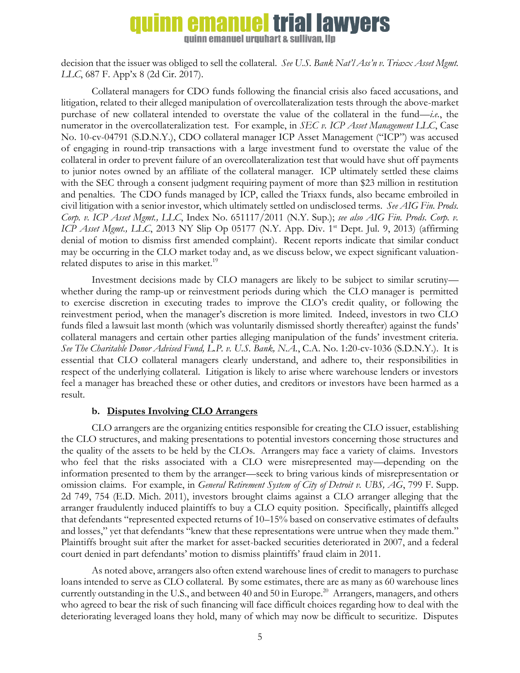### **quinn emanuel trial lawyers**

**guinn emanuel urguhart & sullivan. Ilp** 

decision that the issuer was obliged to sell the collateral. *See U.S. Bank Nat'l Ass'n v. Triaxx Asset Mgmt. LLC*, 687 F. App'x 8 (2d Cir. 2017).

Collateral managers for CDO funds following the financial crisis also faced accusations, and litigation, related to their alleged manipulation of overcollateralization tests through the above-market purchase of new collateral intended to overstate the value of the collateral in the fund—*i.e.*, the numerator in the overcollateralization test. For example, in *SEC v. ICP Asset Management LLC*, Case No. 10-cv-04791 (S.D.N.Y.), CDO collateral manager ICP Asset Management ("ICP") was accused of engaging in round-trip transactions with a large investment fund to overstate the value of the collateral in order to prevent failure of an overcollateralization test that would have shut off payments to junior notes owned by an affiliate of the collateral manager. ICP ultimately settled these claims with the SEC through a consent judgment requiring payment of more than \$23 million in restitution and penalties. The CDO funds managed by ICP, called the Triaxx funds, also became embroiled in civil litigation with a senior investor, which ultimately settled on undisclosed terms. *See AIG Fin. Prods. Corp. v. ICP Asset Mgmt., LLC*, Index No. 651117/2011 (N.Y. Sup.); *see also AIG Fin. Prods. Corp. v. ICP Asset Mgmt., LLC*, 2013 NY Slip Op 05177 (N.Y. App. Div. 1<sup>st</sup> Dept. Jul. 9, 2013) (affirming denial of motion to dismiss first amended complaint). Recent reports indicate that similar conduct may be occurring in the CLO market today and, as we discuss below, we expect significant valuationrelated disputes to arise in this market.<sup>19</sup>

Investment decisions made by CLO managers are likely to be subject to similar scrutiny whether during the ramp-up or reinvestment periods during which the CLO manager is permitted to exercise discretion in executing trades to improve the CLO's credit quality, or following the reinvestment period, when the manager's discretion is more limited. Indeed, investors in two CLO funds filed a lawsuit last month (which was voluntarily dismissed shortly thereafter) against the funds' collateral managers and certain other parties alleging manipulation of the funds' investment criteria. *See The Charitable Donor Advised Fund, L.P. v. U.S. Bank, N.A.*, C.A. No. 1:20-cv-1036 (S.D.N.Y.). It is essential that CLO collateral managers clearly understand, and adhere to, their responsibilities in respect of the underlying collateral. Litigation is likely to arise where warehouse lenders or investors feel a manager has breached these or other duties, and creditors or investors have been harmed as a result.

#### **b. Disputes Involving CLO Arrangers**

<span id="page-4-0"></span>CLO arrangers are the organizing entities responsible for creating the CLO issuer, establishing the CLO structures, and making presentations to potential investors concerning those structures and the quality of the assets to be held by the CLOs. Arrangers may face a variety of claims. Investors who feel that the risks associated with a CLO were misrepresented may—depending on the information presented to them by the arranger—seek to bring various kinds of misrepresentation or omission claims. For example, in *General Retirement System of City of Detroit v. UBS, AG*, 799 F. Supp. 2d 749, 754 (E.D. Mich. 2011), investors brought claims against a CLO arranger alleging that the arranger fraudulently induced plaintiffs to buy a CLO equity position. Specifically, plaintiffs alleged that defendants "represented expected returns of 10–15% based on conservative estimates of defaults and losses," yet that defendants "knew that these representations were untrue when they made them." Plaintiffs brought suit after the market for asset-backed securities deteriorated in 2007, and a federal court denied in part defendants' motion to dismiss plaintiffs' fraud claim in 2011.

As noted above, arrangers also often extend warehouse lines of credit to managers to purchase loans intended to serve as CLO collateral. By some estimates, there are as many as 60 warehouse lines currently outstanding in the U.S., and between 40 and 50 in Europe.<sup>20</sup> Arrangers, managers, and others who agreed to bear the risk of such financing will face difficult choices regarding how to deal with the deteriorating leveraged loans they hold, many of which may now be difficult to securitize. Disputes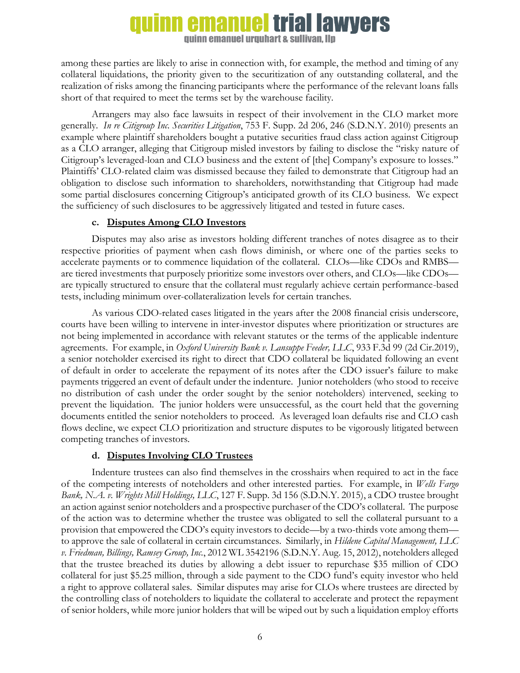## **quinn emanuel trial lawyers**

quinn emanuel urquhart & sullivan, llp

among these parties are likely to arise in connection with, for example, the method and timing of any collateral liquidations, the priority given to the securitization of any outstanding collateral, and the realization of risks among the financing participants where the performance of the relevant loans falls short of that required to meet the terms set by the warehouse facility.

Arrangers may also face lawsuits in respect of their involvement in the CLO market more generally. *In re Citigroup Inc. Securities Litigation*, 753 F. Supp. 2d 206, 246 (S.D.N.Y. 2010) presents an example where plaintiff shareholders bought a putative securities fraud class action against Citigroup as a CLO arranger, alleging that Citigroup misled investors by failing to disclose the "risky nature of Citigroup's leveraged-loan and CLO business and the extent of [the] Company's exposure to losses." Plaintiffs' CLO-related claim was dismissed because they failed to demonstrate that Citigroup had an obligation to disclose such information to shareholders, notwithstanding that Citigroup had made some partial disclosures concerning Citigroup's anticipated growth of its CLO business. We expect the sufficiency of such disclosures to be aggressively litigated and tested in future cases.

#### **c. Disputes Among CLO Investors**

<span id="page-5-0"></span>Disputes may also arise as investors holding different tranches of notes disagree as to their respective priorities of payment when cash flows diminish, or where one of the parties seeks to accelerate payments or to commence liquidation of the collateral. CLOs—like CDOs and RMBS are tiered investments that purposely prioritize some investors over others, and CLOs—like CDOs are typically structured to ensure that the collateral must regularly achieve certain performance-based tests, including minimum over-collateralization levels for certain tranches.

As various CDO-related cases litigated in the years after the 2008 financial crisis underscore, courts have been willing to intervene in inter-investor disputes where prioritization or structures are not being implemented in accordance with relevant statutes or the terms of the applicable indenture agreements. For example, in *Oxford University Bank v. Lansuppe Feeder, LLC*, 933 F.3d 99 (2d Cir.2019), a senior noteholder exercised its right to direct that CDO collateral be liquidated following an event of default in order to accelerate the repayment of its notes after the CDO issuer's failure to make payments triggered an event of default under the indenture. Junior noteholders (who stood to receive no distribution of cash under the order sought by the senior noteholders) intervened, seeking to prevent the liquidation. The junior holders were unsuccessful, as the court held that the governing documents entitled the senior noteholders to proceed. As leveraged loan defaults rise and CLO cash flows decline, we expect CLO prioritization and structure disputes to be vigorously litigated between competing tranches of investors.

#### **d. Disputes Involving CLO Trustees**

<span id="page-5-1"></span>Indenture trustees can also find themselves in the crosshairs when required to act in the face of the competing interests of noteholders and other interested parties. For example, in *Wells Fargo Bank, N.A. v. Wrights Mill Holdings, LLC*, 127 F. Supp. 3d 156 (S.D.N.Y. 2015), a CDO trustee brought an action against senior noteholders and a prospective purchaser of the CDO's collateral. The purpose of the action was to determine whether the trustee was obligated to sell the collateral pursuant to a provision that empowered the CDO's equity investors to decide—by a two-thirds vote among them to approve the sale of collateral in certain circumstances. Similarly, in *Hildene Capital Management, LLC v. Friedman, Billings, Ramsey Group, Inc.*, 2012 WL 3542196 (S.D.N.Y. Aug. 15, 2012), noteholders alleged that the trustee breached its duties by allowing a debt issuer to repurchase \$35 million of CDO collateral for just \$5.25 million, through a side payment to the CDO fund's equity investor who held a right to approve collateral sales. Similar disputes may arise for CLOs where trustees are directed by the controlling class of noteholders to liquidate the collateral to accelerate and protect the repayment of senior holders, while more junior holders that will be wiped out by such a liquidation employ efforts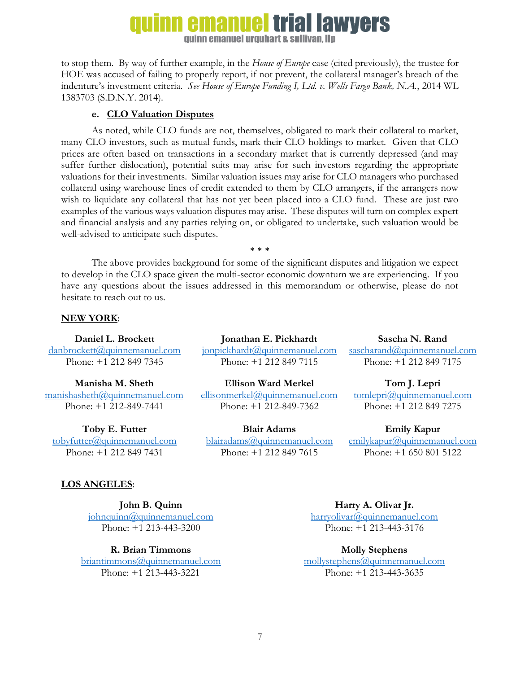### **emanuel trial lawvers**

quinn emanuel urquhart & sullivan, llp

to stop them. By way of further example, in the *House of Europe* case (cited previously), the trustee for HOE was accused of failing to properly report, if not prevent, the collateral manager's breach of the indenture's investment criteria. *See House of Europe Funding I, Ltd. v. Wells Fargo Bank, N.A.*, 2014 WL 1383703 (S.D.N.Y. 2014).

#### **e. CLO Valuation Disputes**

<span id="page-6-0"></span>As noted, while CLO funds are not, themselves, obligated to mark their collateral to market, many CLO investors, such as mutual funds, mark their CLO holdings to market. Given that CLO prices are often based on transactions in a secondary market that is currently depressed (and may suffer further dislocation), potential suits may arise for such investors regarding the appropriate valuations for their investments. Similar valuation issues may arise for CLO managers who purchased collateral using warehouse lines of credit extended to them by CLO arrangers, if the arrangers now wish to liquidate any collateral that has not yet been placed into a CLO fund. These are just two examples of the various ways valuation disputes may arise. These disputes will turn on complex expert and financial analysis and any parties relying on, or obligated to undertake, such valuation would be well-advised to anticipate such disputes.

\* \* \* The above provides background for some of the significant disputes and litigation we expect to develop in the CLO space given the multi-sector economic downturn we are experiencing. If you have any questions about the issues addressed in this memorandum or otherwise, please do not hesitate to reach out to us.

#### **NEW YORK**:

**Daniel L. Brockett**

danbrocket[t@quinnemanuel.com](mailto:tobyfutter@quinnemanuel.com) Phone: +1 212 849 7345

**Manisha M. Sheth** [manishasheth@quinnemanuel.com](mailto:manishasheth@quinnemanuel.com) Phone: +1 212-849-7441

**Toby E. Futter** [tobyfutter@quinnemanuel.com](mailto:tobyfutter@quinnemanuel.com) Phone: +1 212 849 7431

**Jonathan E. Pickhardt** jonpickhard[t@quinnemanuel.com](mailto:tobyfutter@quinnemanuel.com) Phone: +1 212 849 7115

**Ellison Ward Merkel** [ellisonmerkel@quinnemanuel.com](mailto:ellisonmerkel@quinnemanuel.com) Phone: +1 212-849-7362

**Blair Adams** [blairadams@quinnemanuel.com](mailto:blairadams@quinnemanuel.com) Phone: +1 212 849 7615

**Sascha N. Rand** [sascharand@quinnemanuel.com](mailto:sascharand@quinnemanuel.com)

Phone: +1 212 849 7175

**Tom J. Lepri**

[tomlepri@quinnemanuel.com](mailto:tomlepri@quinnemanuel.com) Phone: +1 212 849 7275

**Emily Kapur**

[emilykapur@quinnemanuel.com](mailto:emilykapur@quinnemanuel.com) Phone: +1 650 801 5122

### **LOS ANGELES**:

**John B. Quinn** [johnquinn@quinnemanuel.com](mailto:johnquinn@quinnemanuel.com) Phone: +1 213-443-3200

**R. Brian Timmons** [briantimmons@quinnemanuel.com](mailto:briantimmons@quinnemanuel.com) Phone: +1 213-443-3221

**Harry A. Olivar Jr.** [harryolivar@quinnemanuel.com](mailto:harryolivar@quinnemanuel.com) Phone: +1 213-443-3176

**Molly Stephens** [mollystephens@quinnemanuel.com](mailto:mollystephens@quinnemanuel.com) Phone: +1 213-443-3635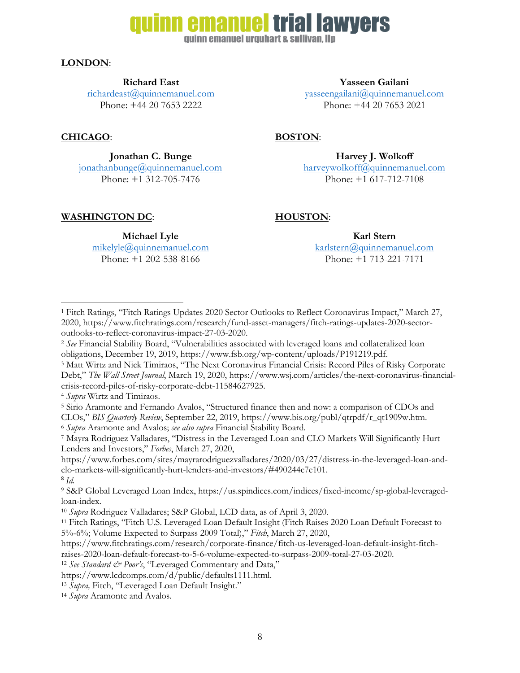### **emanuel trial lawyers**

quinn emanuel urquhart & sullivan. Ilp

#### **LONDON**:

**Richard East**

[richardeast@quinnemanuel.com](mailto:richardeast@quinnemanuel.com) Phone: +44 20 7653 2222

#### **CHICAGO**: **BOSTON**:

l

**Jonathan C. Bunge**

 $jonathanbunge@quinnemanuel.com$ Phone: +1 312-705-7476

#### **WASHINGTON DC**: **HOUSTON**:

**Michael Lyle** [mikelyle@quinnemanuel.com](mailto:mikelyle@quinnemanuel.com) Phone: +1 202-538-8166

**Karl Stern** [karlstern@quinnemanuel.com](mailto:karlstern@quinnemanuel.com) Phone: +1 713-221-7171

<sup>1</sup> Fitch Ratings, "Fitch Ratings Updates 2020 Sector Outlooks to Reflect Coronavirus Impact," March 27, 2020, https://www.fitchratings.com/research/fund-asset-managers/fitch-ratings-updates-2020-sectoroutlooks-to-reflect-coronavirus-impact-27-03-2020.

<sup>4</sup> *Supra* Wirtz and Timiraos.

<sup>5</sup> Sirio Aramonte and Fernando Avalos, "Structured finance then and now: a comparison of CDOs and CLOs," *BIS Quarterly Review*, September 22, 2019, https://www.bis.org/publ/qtrpdf/r\_qt1909w.htm.

<sup>6</sup> *Supra* Aramonte and Avalos; *see also supra* Financial Stability Board*.*

<sup>7</sup> Mayra Rodriguez Valladares, "Distress in the Leveraged Loan and CLO Markets Will Significantly Hurt Lenders and Investors," *Forbes*, March 27, 2020,

https://www.forbes.com/sites/mayrarodriguezvalladares/2020/03/27/distress-in-the-leveraged-loan-andclo-markets-will-significantly-hurt-lenders-and-investors/#490244c7e101. 8 *Id.*

<sup>9</sup> S&P Global Leveraged Loan Index, https://us.spindices.com/indices/fixed-income/sp-global-leveragedloan-index.

https://www.fitchratings.com/research/corporate-finance/fitch-us-leveraged-loan-default-insight-fitch-

raises-2020-loan-default-forecast-to-5-6-volume-expected-to-surpass-2009-total-27-03-2020.

**Yasseen Gailani**

[yasseengailani@quinnemanuel.com](mailto:richardeast@quinnemanuel.com) Phone: +44 20 7653 2021

**Harvey J. Wolkoff** [harveywolkoff@quinnemanuel.com](mailto:harveywolkoff@quinnemanuel.com) Phone: +1 617-712-7108

<sup>2</sup> *See* Financial Stability Board, "Vulnerabilities associated with leveraged loans and collateralized loan obligations, December 19, 2019, https://www.fsb.org/wp-content/uploads/P191219.pdf.

<sup>3</sup> Matt Wirtz and Nick Timiraos, "The Next Coronavirus Financial Crisis: Record Piles of Risky Corporate Debt," *The Wall Street Journal*, March 19, 2020, https://www.wsj.com/articles/the-next-coronavirus-financialcrisis-record-piles-of-risky-corporate-debt-11584627925.

<sup>10</sup> *Supra* Rodriguez Valladares; S&P Global, LCD data, as of April 3, 2020.

<sup>11</sup> Fitch Ratings, "Fitch U.S. Leveraged Loan Default Insight (Fitch Raises 2020 Loan Default Forecast to 5%-6%; Volume Expected to Surpass 2009 Total)," *Fitch*, March 27, 2020,

<sup>&</sup>lt;sup>12</sup> *See Standard & Poor's*, "Leveraged Commentary and Data,"

https://www.lcdcomps.com/d/public/defaults1111.html.

<sup>13</sup> *Supra,* Fitch, "Leveraged Loan Default Insight."

<sup>14</sup> *Supra* Aramonte and Avalos.